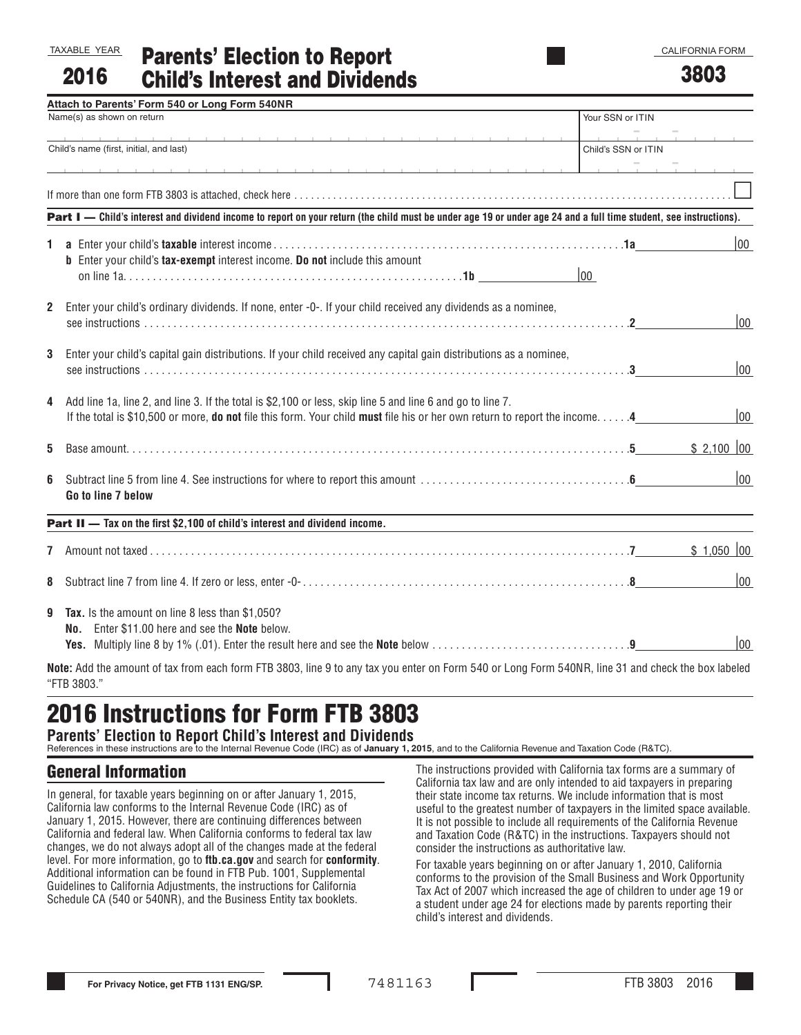CALIFORNIA FORM

| TAXABLE YEAR | <b>Parents' Election to Report</b>    |
|--------------|---------------------------------------|
| 2016         | <b>Child's Interest and Dividends</b> |



|                                                                            | Attach to Parents' Form 540 or Long Form 540NR                                                                                                                                                                                                        |              |                                                                    |  |
|----------------------------------------------------------------------------|-------------------------------------------------------------------------------------------------------------------------------------------------------------------------------------------------------------------------------------------------------|--------------|--------------------------------------------------------------------|--|
| Name(s) as shown on return<br>.<br>Child's name (first, initial, and last) |                                                                                                                                                                                                                                                       |              | Your SSN or ITIN<br>Child's SSN or ITIN<br><b>Control Teachers</b> |  |
|                                                                            |                                                                                                                                                                                                                                                       |              |                                                                    |  |
|                                                                            | Part I — Child's interest and dividend income to report on your return (the child must be under age 19 or under age 24 and a full time student, see instructions).                                                                                    |              |                                                                    |  |
|                                                                            | <b>b</b> Enter your child's tax-exempt interest income. Do not include this amount                                                                                                                                                                    | $ 00\rangle$ | $ 00\rangle$                                                       |  |
| $\mathbf{2}$                                                               | Enter your child's ordinary dividends. If none, enter -0-. If your child received any dividends as a nominee,                                                                                                                                         |              | $ 00\rangle$                                                       |  |
| 3                                                                          | Enter your child's capital gain distributions. If your child received any capital gain distributions as a nominee,                                                                                                                                    |              | $ 00\rangle$                                                       |  |
| 4                                                                          | Add line 1a, line 2, and line 3. If the total is \$2,100 or less, skip line 5 and line 6 and go to line 7.<br>If the total is \$10,500 or more, <b>do not</b> file this form. Your child <b>must</b> file his or her own return to report the income4 |              | $ 00\rangle$                                                       |  |
| 5                                                                          |                                                                                                                                                                                                                                                       |              | $$2,100$ 00                                                        |  |
| 6                                                                          | Go to line 7 below                                                                                                                                                                                                                                    |              | $ 00\rangle$                                                       |  |
|                                                                            | <b>Part II - Tax on the first \$2,100 of child's interest and dividend income.</b>                                                                                                                                                                    |              |                                                                    |  |
|                                                                            |                                                                                                                                                                                                                                                       |              |                                                                    |  |
| 8                                                                          |                                                                                                                                                                                                                                                       |              | $ 00\rangle$                                                       |  |
| 9                                                                          | Tax. Is the amount on line 8 less than \$1,050?<br>No. Enter \$11.00 here and see the Note below.                                                                                                                                                     |              | 100                                                                |  |
|                                                                            | Note: Add the amount of tax from each form FTB 3803, line 9 to any tax you enter on Form 540 or Long Form 540NR, line 31 and check the box labeled                                                                                                    |              |                                                                    |  |

"FTB 3803."

# 2016 Instructions for Form FTB 3803

**Parents' Election to Report Child's Interest and Dividends** References in these instructions are to the Internal Revenue Code (IRC) as of **January 1, 2015**, and to the California Revenue and Taxation Code (R&TC).

## General Information

In general, for taxable years beginning on or after January 1, 2015, California law conforms to the Internal Revenue Code (IRC) as of January 1, 2015. However, there are continuing differences between California and federal law. When California conforms to federal tax law changes, we do not always adopt all of the changes made at the federal level. For more information, go to **ftb.ca.gov** and search for **conformity**. Additional information can be found in FTB Pub. 1001, Supplemental Guidelines to California Adjustments, the instructions for California Schedule CA (540 or 540NR), and the Business Entity tax booklets.

The instructions provided with California tax forms are a summary of California tax law and are only intended to aid taxpayers in preparing their state income tax returns. We include information that is most useful to the greatest number of taxpayers in the limited space available. It is not possible to include all requirements of the California Revenue and Taxation Code (R&TC) in the instructions. Taxpayers should not consider the instructions as authoritative law.

For taxable years beginning on or after January 1, 2010, California conforms to the provision of the Small Business and Work Opportunity Tax Act of 2007 which increased the age of children to under age 19 or a student under age 24 for elections made by parents reporting their child's interest and dividends.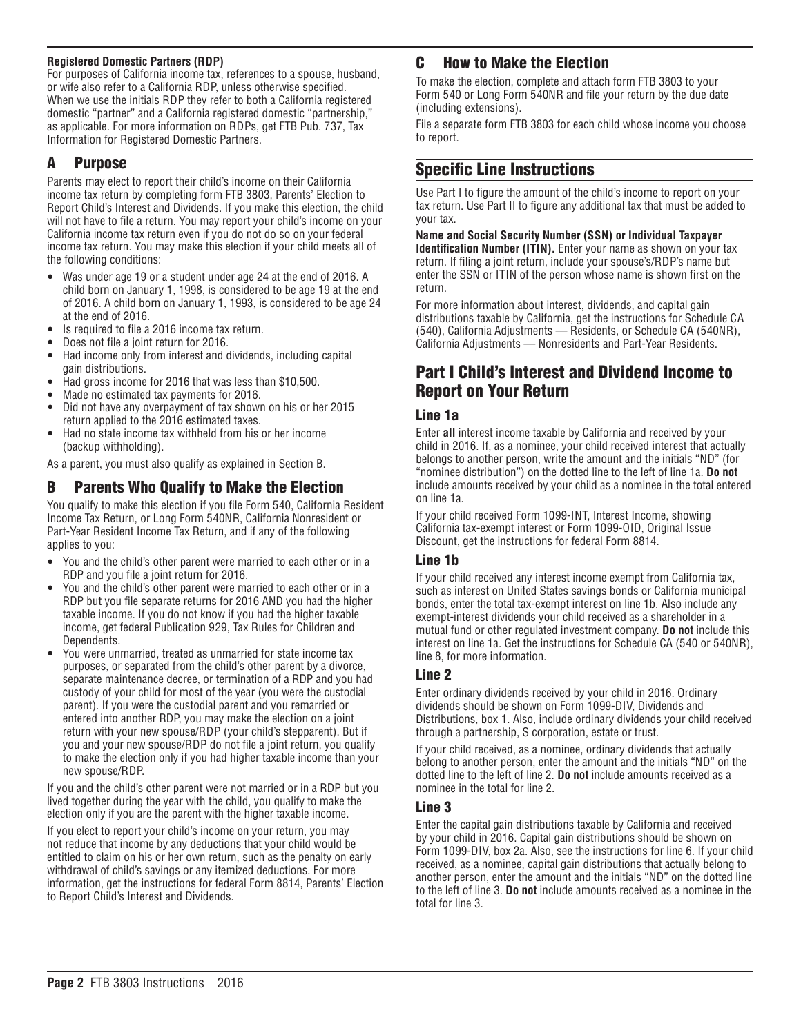#### **Registered Domestic Partners (RDP)**

For purposes of California income tax, references to a spouse, husband, or wife also refer to a California RDP, unless otherwise specified. When we use the initials RDP they refer to both a California registered domestic "partner" and a California registered domestic "partnership," as applicable. For more information on RDPs, get FTB Pub. 737, Tax Information for Registered Domestic Partners.

## A Purpose

Parents may elect to report their child's income on their California income tax return by completing form FTB 3803, Parents' Election to Report Child's Interest and Dividends. If you make this election, the child will not have to file a return. You may report your child's income on your California income tax return even if you do not do so on your federal income tax return. You may make this election if your child meets all of the following conditions:

- Was under age 19 or a student under age 24 at the end of 2016. A child born on January 1, 1998, is considered to be age 19 at the end of 2016. A child born on January 1, 1993, is considered to be age 24 at the end of 2016.
- Is required to file a 2016 income tax return.
- Does not file a joint return for 2016.
- Had income only from interest and dividends, including capital gain distributions.
- Had gross income for 2016 that was less than \$10,500.
- Made no estimated tax payments for 2016.
- Did not have any overpayment of tax shown on his or her 2015 return applied to the 2016 estimated taxes.
- Had no state income tax withheld from his or her income (backup withholding).

As a parent, you must also qualify as explained in Section B.

## Parents Who Qualify to Make the Election

You qualify to make this election if you file Form 540, California Resident Income Tax Return, or Long Form 540NR, California Nonresident or Part-Year Resident Income Tax Return, and if any of the following applies to you:

- You and the child's other parent were married to each other or in a RDP and you file a joint return for 2016.
- You and the child's other parent were married to each other or in a RDP but you file separate returns for 2016 AND you had the higher taxable income. If you do not know if you had the higher taxable income, get federal Publication 929, Tax Rules for Children and Dependents.
- You were unmarried, treated as unmarried for state income tax purposes, or separated from the child's other parent by a divorce, separate maintenance decree, or termination of a RDP and you had custody of your child for most of the year (you were the custodial parent). If you were the custodial parent and you remarried or entered into another RDP, you may make the election on a joint return with your new spouse/RDP (your child's stepparent). But if you and your new spouse/RDP do not file a joint return, you qualify to make the election only if you had higher taxable income than your new spouse/RDP.

If you and the child's other parent were not married or in a RDP but you lived together during the year with the child, you qualify to make the election only if you are the parent with the higher taxable income.

If you elect to report your child's income on your return, you may not reduce that income by any deductions that your child would be entitled to claim on his or her own return, such as the penalty on early withdrawal of child's savings or any itemized deductions. For more information, get the instructions for federal Form 8814, Parents' Election to Report Child's Interest and Dividends.

## C How to Make the Election

To make the election, complete and attach form FTB 3803 to your Form 540 or Long Form 540NR and file your return by the due date (including extensions).

File a separate form FTB 3803 for each child whose income you choose to report.

## Specific Line Instructions

Use Part I to figure the amount of the child's income to report on your tax return. Use Part II to figure any additional tax that must be added to your tax.

**Name and Social Security Number (SSN) or Individual Taxpayer Identification Number (ITIN).** Enter your name as shown on your tax return. If filing a joint return, include your spouse's/RDP's name but enter the SSN or ITIN of the person whose name is shown first on the return.

For more information about interest, dividends, and capital gain distributions taxable by California, get the instructions for Schedule CA (540), California Adjustments — Residents, or Schedule CA (540NR), California Adjustments — Nonresidents and Part-Year Residents.

## Part I Child's Interest and Dividend Income to Report on Your Return

#### Line 1a

Enter **all** interest income taxable by California and received by your child in 2016. If, as a nominee, your child received interest that actually belongs to another person, write the amount and the initials "ND" (for "nominee distribution") on the dotted line to the left of line 1a. **Do not**  include amounts received by your child as a nominee in the total entered on line 1a.

If your child received Form 1099-INT, Interest Income, showing California tax-exempt interest or Form 1099-OID, Original Issue Discount, get the instructions for federal Form 8814.

#### Line 1b

If your child received any interest income exempt from California tax, such as interest on United States savings bonds or California municipal bonds, enter the total tax-exempt interest on line 1b. Also include any exempt-interest dividends your child received as a shareholder in a mutual fund or other regulated investment company. **Do not** include this interest on line 1a. Get the instructions for Schedule CA (540 or 540NR), line 8, for more information.

#### Line 2

Enter ordinary dividends received by your child in 2016. Ordinary dividends should be shown on Form 1099-DIV, Dividends and Distributions, box 1. Also, include ordinary dividends your child received through a partnership, S corporation, estate or trust.

If your child received, as a nominee, ordinary dividends that actually belong to another person, enter the amount and the initials "ND" on the dotted line to the left of line 2. **Do not** include amounts received as a nominee in the total for line 2.

#### Line 3

Enter the capital gain distributions taxable by California and received by your child in 2016. Capital gain distributions should be shown on Form 1099-DIV, box 2a. Also, see the instructions for line 6. If your child received, as a nominee, capital gain distributions that actually belong to another person, enter the amount and the initials "ND" on the dotted line to the left of line 3. **Do not** include amounts received as a nominee in the total for line 3.